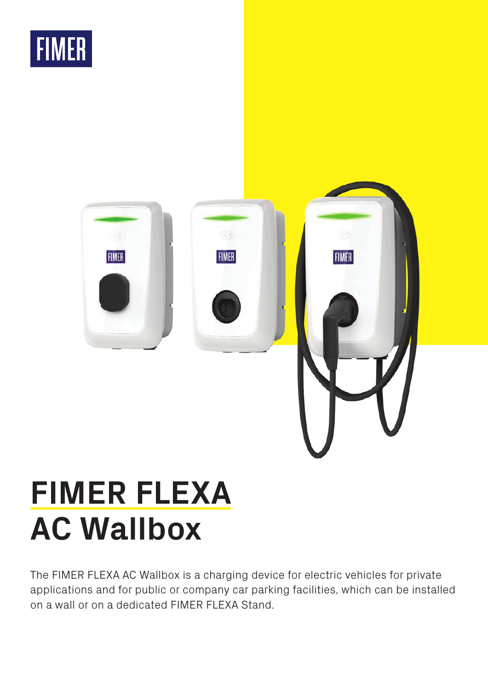



# **FIMER FLEXA AC Wallbox**

The FIMER FLEXA AC Wallbox is a charging device for electric vehicles for private applications and for public or company car parking facilities, which can be installed on a wall or on a dedicated FIMER FLEXA Stand.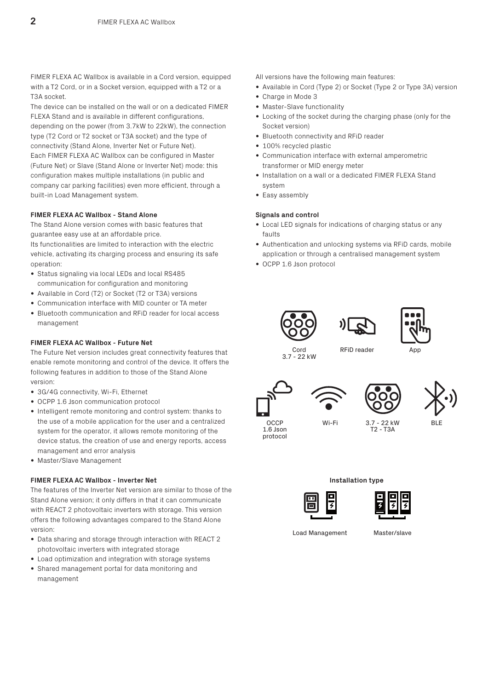FIMER FLEXA AC Wallbox is available in a Cord version, equipped with a T2 Cord, or in a Socket version, equipped with a T2 or a T3A socket.

The device can be installed on the wall or on a dedicated FIMER FLEXA Stand and is available in different configurations, depending on the power (from 3.7kW to 22kW), the connection type (T2 Cord or T2 socket or T3A socket) and the type of connectivity (Stand Alone, Inverter Net or Future Net). Each FIMER FLEXA AC Wallbox can be configured in Master (Future Net) or Slave (Stand Alone or Inverter Net) mode: this configuration makes multiple installations (in public and company car parking facilities) even more efficient, through a built-in Load Management system.

## **FIMER FLEXA AC Wallbox - Stand Alone**

The Stand Alone version comes with basic features that guarantee easy use at an affordable price.

Its functionalities are limited to interaction with the electric vehicle, activating its charging process and ensuring its safe operation:

- Status signaling via local LEDs and local RS485 communication for configuration and monitoring
- Available in Cord (T2) or Socket (T2 or T3A) versions
- Communication interface with MID counter or TA meter
- Bluetooth communication and RFiD reader for local access management

### **FIMER FLEXA AC Wallbox - Future Net**

The Future Net version includes great connectivity features that enable remote monitoring and control of the device. It offers the following features in addition to those of the Stand Alone version:

- 3G/4G connectivity, Wi-Fi, Ethernet
- OCPP 1.6 Json communication protocol
- Intelligent remote monitoring and control system: thanks to the use of a mobile application for the user and a centralized system for the operator, it allows remote monitoring of the device status, the creation of use and energy reports, access management and error analysis
- Master/Slave Management

# **FIMER FLEXA AC Wallbox - Inverter Net**

The features of the Inverter Net version are similar to those of the Stand Alone version; it only differs in that it can communicate with REACT 2 photovoltaic inverters with storage. This version offers the following advantages compared to the Stand Alone version:

- Data sharing and storage through interaction with REACT 2 photovoltaic inverters with integrated storage
- Load optimization and integration with storage systems
- Shared management portal for data monitoring and management

All versions have the following main features:

- Available in Cord (Type 2) or Socket (Type 2 or Type 3A) version
- Charge in Mode 3
- Master-Slave functionality
- Locking of the socket during the charging phase (only for the Socket version)
- Bluetooth connectivity and RFiD reader
- 100% recycled plastic
- Communication interface with external amperometric transformer or MID energy meter
- Installation on a wall or a dedicated FIMER FLEXA Stand system
- Easy assembly

### **Signals and control**

- Local LED signals for indications of charging status or any faults
- Authentication and unlocking systems via RFiD cards, mobile application or through a centralised management system
- OCPP 1.6 Json protocol







Cord 3.7 - 22 kW

RFiD reader

Anr

Wi-Fi





**OCCP** 1.6 Json protocol

..<br>T2 - T3A

BLE

**Installation type**



Load Management Master/slave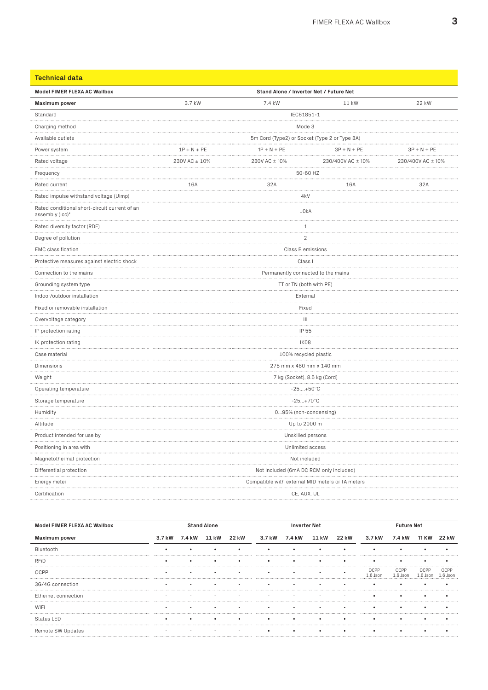| <b>Technical data</b>                                            |                                               |                                                  |                   |                   |  |  |  |
|------------------------------------------------------------------|-----------------------------------------------|--------------------------------------------------|-------------------|-------------------|--|--|--|
| Model FIMER FLEXA AC Wallbox                                     |                                               | Stand Alone / Inverter Net / Future Net          |                   |                   |  |  |  |
| <b>Maximum</b> power                                             | 3.7 kW                                        | 7.4 kW                                           | 11 kW             | 22 kW             |  |  |  |
| Standard                                                         |                                               | IEC61851-1                                       |                   |                   |  |  |  |
| Charging method                                                  |                                               | Mode 3                                           |                   |                   |  |  |  |
| Available outlets                                                | 5m Cord (Type2) or Socket (Type 2 or Type 3A) |                                                  |                   |                   |  |  |  |
| Power system<br>.                                                | $1P + N + PE$<br>.                            | $1P + N + PE$                                    | $3P + N + PE$     | $3P + N + PE$     |  |  |  |
| Rated voltage                                                    | 230V AC ± 10%<br>.                            | 230V AC ± 10%                                    | 230/400V AC ± 10% | 230/400V AC ± 10% |  |  |  |
| Frequency                                                        |                                               | .                                                | 50-60 HZ          |                   |  |  |  |
| Rated current                                                    | 16A                                           | 32A                                              | 16A               | 32A               |  |  |  |
| Rated impulse withstand voltage (Uimp)                           |                                               | 4 <sub>k</sub> V                                 |                   |                   |  |  |  |
| Rated conditional short-circuit current of an<br>assembly (icc)" |                                               | 10kA                                             |                   |                   |  |  |  |
| Rated diversity factor (RDF)                                     |                                               | 1                                                |                   |                   |  |  |  |
| Degree of pollution                                              |                                               | $\overline{2}$                                   |                   |                   |  |  |  |
| <b>EMC</b> classification                                        | Class B emissions                             |                                                  |                   |                   |  |  |  |
| Protective measures against electric shock                       |                                               | Class I                                          |                   |                   |  |  |  |
| Connection to the mains                                          | Permanently connected to the mains            |                                                  |                   |                   |  |  |  |
| Grounding system type                                            | TT or TN (both with PE)                       |                                                  |                   |                   |  |  |  |
| Indoor/outdoor installation                                      | External                                      |                                                  |                   |                   |  |  |  |
| Fixed or removable installation                                  |                                               | Fixed                                            |                   |                   |  |  |  |
| Overvoltage category                                             |                                               | $\vert\vert\vert$                                |                   |                   |  |  |  |
| IP protection rating                                             |                                               | IP 55                                            |                   |                   |  |  |  |
| IK protection rating                                             | IK08                                          |                                                  |                   |                   |  |  |  |
| Case material<br>.                                               |                                               | 100% recycled plastic                            |                   |                   |  |  |  |
| Dimensions                                                       |                                               | 275 mm x 480 mm x 140 mm                         |                   |                   |  |  |  |
| Weight<br>.                                                      |                                               | 7 kg (Socket), 8.5 kg (Cord)                     |                   |                   |  |  |  |
| Operating temperature                                            | $-25+50^{\circ}C$<br>.                        |                                                  |                   |                   |  |  |  |
| Storage temperature                                              |                                               | $-25+70^{\circ}C$                                |                   |                   |  |  |  |
| Humidity                                                         |                                               | 095% (non-condensing)                            |                   |                   |  |  |  |
| Altitude                                                         | Up to 2000 m                                  |                                                  |                   |                   |  |  |  |
| Product intended for use by                                      |                                               | Unskilled persons                                |                   |                   |  |  |  |
| Positioning in area with                                         |                                               | Unlimited access                                 |                   |                   |  |  |  |
| Magnetothermal protection                                        |                                               | Not included                                     |                   |                   |  |  |  |
| Differential protection                                          |                                               | Not included (6mA DC RCM only included)          |                   |                   |  |  |  |
| Energy meter                                                     |                                               | Compatible with external MID meters or TA meters |                   |                   |  |  |  |
| Certification                                                    |                                               | CE, AUX. UL                                      |                   |                   |  |  |  |

| Model FIMER FLEXA AC Wallbox | <b>Stand Alone</b> |        |       | <b>Inverter Net</b> |        |        | Future Net |       |        |        |       |       |
|------------------------------|--------------------|--------|-------|---------------------|--------|--------|------------|-------|--------|--------|-------|-------|
| Maximum power                | 3.7 kW             | 7.4 kW | 11 kW | 22 kW               | 3.7 kW | 7.4 kW | 11 kW      | 22 kW | 3.7 kW | 7.4 kW | 11 KW | 22 kW |
| Bluetooth                    |                    |        |       |                     |        |        |            |       |        |        |       |       |
| <b>RFID</b>                  |                    |        |       |                     |        |        |            |       |        |        |       |       |
| OCPP                         |                    |        |       |                     |        |        |            |       | DCPP   | OCPP   |       |       |
| 3G/4G connection             |                    |        |       |                     |        |        |            |       |        |        |       |       |
| Ethernet connection          |                    |        |       |                     |        |        |            |       |        |        |       |       |
| WiFi                         |                    |        |       |                     |        |        |            |       |        |        |       |       |
| Status LED                   |                    |        |       |                     |        |        |            |       |        |        |       |       |
| Remote SW Updates            |                    |        |       |                     |        |        |            |       |        |        |       |       |